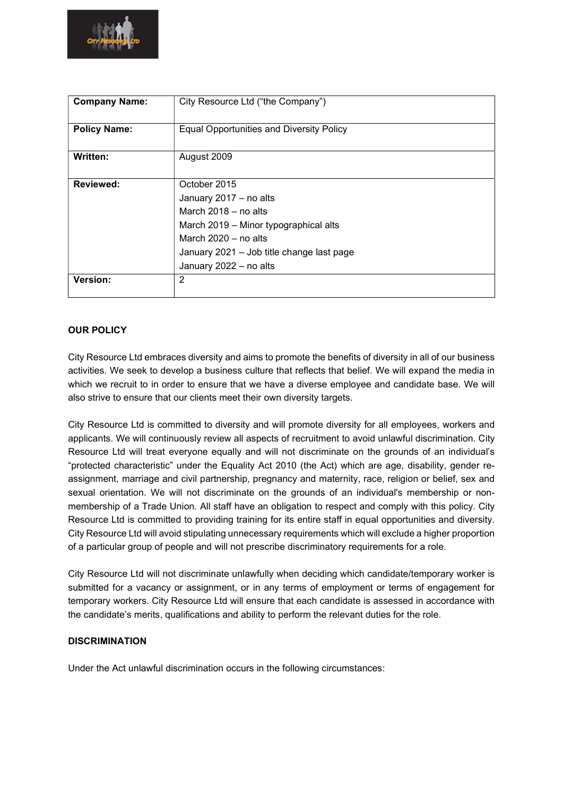

| <b>Company Name:</b> | City Resource Ltd ("the Company")               |
|----------------------|-------------------------------------------------|
|                      |                                                 |
| <b>Policy Name:</b>  | <b>Equal Opportunities and Diversity Policy</b> |
|                      |                                                 |
| Written:             | August 2009                                     |
|                      |                                                 |
| Reviewed:            | October 2015                                    |
|                      | January 2017 - no alts                          |
|                      | March $2018 - no$ alts                          |
|                      | March 2019 - Minor typographical alts           |
|                      | March $2020 - no$ alts                          |
|                      | January 2021 - Job title change last page       |
|                      | January 2022 - no alts                          |
| Version:             | $\overline{2}$                                  |
|                      |                                                 |

# OUR POLICY

City Resource Ltd embraces diversity and aims to promote the benefits of diversity in all of our business activities. We seek to develop a business culture that reflects that belief. We will expand the media in which we recruit to in order to ensure that we have a diverse employee and candidate base. We will also strive to ensure that our clients meet their own diversity targets.

City Resource Ltd is committed to diversity and will promote diversity for all employees, workers and applicants. We will continuously review all aspects of recruitment to avoid unlawful discrimination. City Resource Ltd will treat everyone equally and will not discriminate on the grounds of an individual's "protected characteristic" under the Equality Act 2010 (the Act) which are age, disability, gender reassignment, marriage and civil partnership, pregnancy and maternity, race, religion or belief, sex and sexual orientation. We will not discriminate on the grounds of an individual's membership or nonmembership of a Trade Union. All staff have an obligation to respect and comply with this policy. City Resource Ltd is committed to providing training for its entire staff in equal opportunities and diversity. City Resource Ltd will avoid stipulating unnecessary requirements which will exclude a higher proportion of a particular group of people and will not prescribe discriminatory requirements for a role.

City Resource Ltd will not discriminate unlawfully when deciding which candidate/temporary worker is submitted for a vacancy or assignment, or in any terms of employment or terms of engagement for temporary workers. City Resource Ltd will ensure that each candidate is assessed in accordance with the candidate's merits, qualifications and ability to perform the relevant duties for the role.

#### **DISCRIMINATION**

Under the Act unlawful discrimination occurs in the following circumstances: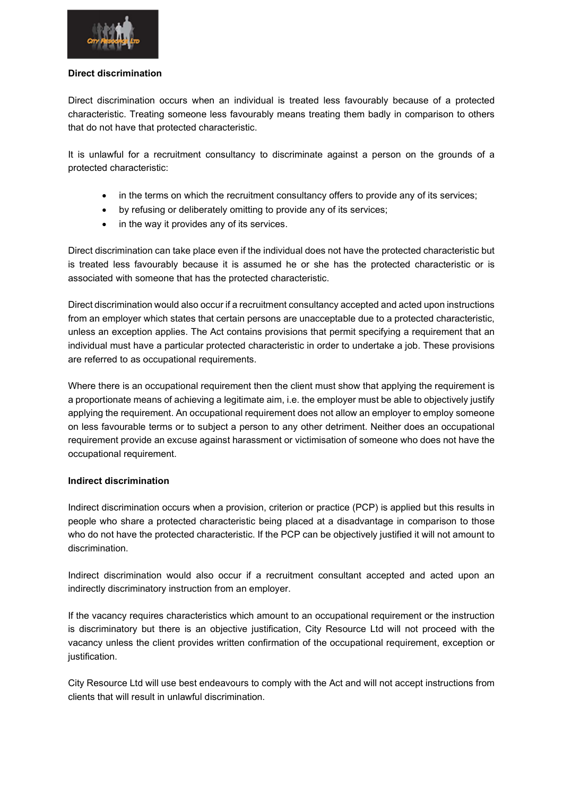

#### Direct discrimination

Direct discrimination occurs when an individual is treated less favourably because of a protected characteristic. Treating someone less favourably means treating them badly in comparison to others that do not have that protected characteristic.

It is unlawful for a recruitment consultancy to discriminate against a person on the grounds of a protected characteristic:

- in the terms on which the recruitment consultancy offers to provide any of its services;
- by refusing or deliberately omitting to provide any of its services;
- in the way it provides any of its services.

Direct discrimination can take place even if the individual does not have the protected characteristic but is treated less favourably because it is assumed he or she has the protected characteristic or is associated with someone that has the protected characteristic.

Direct discrimination would also occur if a recruitment consultancy accepted and acted upon instructions from an employer which states that certain persons are unacceptable due to a protected characteristic, unless an exception applies. The Act contains provisions that permit specifying a requirement that an individual must have a particular protected characteristic in order to undertake a job. These provisions are referred to as occupational requirements.

Where there is an occupational requirement then the client must show that applying the requirement is a proportionate means of achieving a legitimate aim, i.e. the employer must be able to objectively justify applying the requirement. An occupational requirement does not allow an employer to employ someone on less favourable terms or to subject a person to any other detriment. Neither does an occupational requirement provide an excuse against harassment or victimisation of someone who does not have the occupational requirement.

#### Indirect discrimination

Indirect discrimination occurs when a provision, criterion or practice (PCP) is applied but this results in people who share a protected characteristic being placed at a disadvantage in comparison to those who do not have the protected characteristic. If the PCP can be objectively justified it will not amount to discrimination.

Indirect discrimination would also occur if a recruitment consultant accepted and acted upon an indirectly discriminatory instruction from an employer.

If the vacancy requires characteristics which amount to an occupational requirement or the instruction is discriminatory but there is an objective justification, City Resource Ltd will not proceed with the vacancy unless the client provides written confirmation of the occupational requirement, exception or justification.

City Resource Ltd will use best endeavours to comply with the Act and will not accept instructions from clients that will result in unlawful discrimination.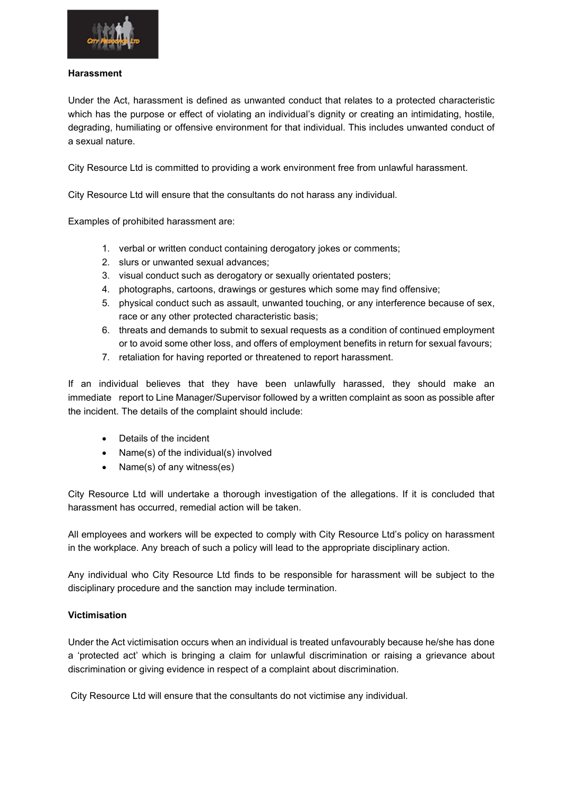

#### Harassment

Under the Act, harassment is defined as unwanted conduct that relates to a protected characteristic which has the purpose or effect of violating an individual's dignity or creating an intimidating, hostile, degrading, humiliating or offensive environment for that individual. This includes unwanted conduct of a sexual nature.

City Resource Ltd is committed to providing a work environment free from unlawful harassment.

City Resource Ltd will ensure that the consultants do not harass any individual.

Examples of prohibited harassment are:

- 1. verbal or written conduct containing derogatory jokes or comments;
- 2. slurs or unwanted sexual advances;
- 3. visual conduct such as derogatory or sexually orientated posters;
- 4. photographs, cartoons, drawings or gestures which some may find offensive;
- 5. physical conduct such as assault, unwanted touching, or any interference because of sex, race or any other protected characteristic basis;
- 6. threats and demands to submit to sexual requests as a condition of continued employment or to avoid some other loss, and offers of employment benefits in return for sexual favours;
- 7. retaliation for having reported or threatened to report harassment.

If an individual believes that they have been unlawfully harassed, they should make an immediate report to Line Manager/Supervisor followed by a written complaint as soon as possible after the incident. The details of the complaint should include:

- Details of the incident
- Name(s) of the individual(s) involved
- Name(s) of any witness(es)

City Resource Ltd will undertake a thorough investigation of the allegations. If it is concluded that harassment has occurred, remedial action will be taken.

All employees and workers will be expected to comply with City Resource Ltd's policy on harassment in the workplace. Any breach of such a policy will lead to the appropriate disciplinary action.

Any individual who City Resource Ltd finds to be responsible for harassment will be subject to the disciplinary procedure and the sanction may include termination.

#### Victimisation

Under the Act victimisation occurs when an individual is treated unfavourably because he/she has done a 'protected act' which is bringing a claim for unlawful discrimination or raising a grievance about discrimination or giving evidence in respect of a complaint about discrimination.

City Resource Ltd will ensure that the consultants do not victimise any individual.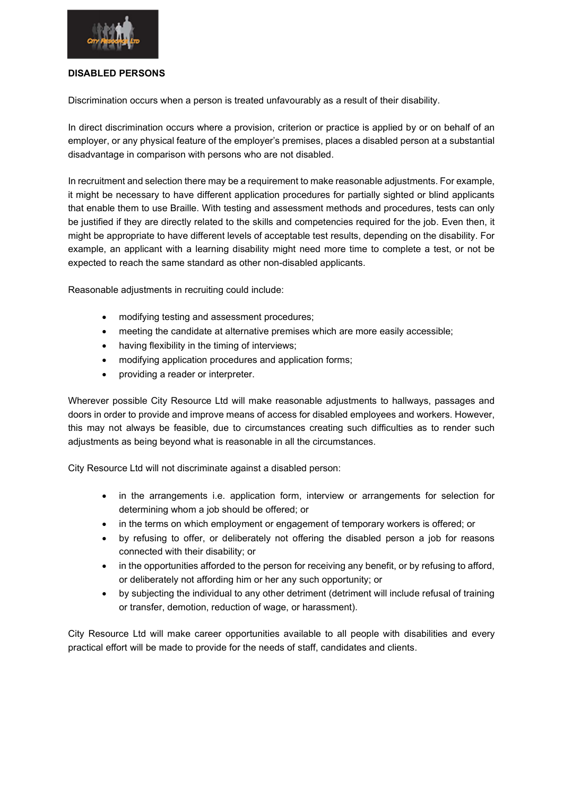

#### DISABLED PERSONS

Discrimination occurs when a person is treated unfavourably as a result of their disability.

In direct discrimination occurs where a provision, criterion or practice is applied by or on behalf of an employer, or any physical feature of the employer's premises, places a disabled person at a substantial disadvantage in comparison with persons who are not disabled.

In recruitment and selection there may be a requirement to make reasonable adjustments. For example, it might be necessary to have different application procedures for partially sighted or blind applicants that enable them to use Braille. With testing and assessment methods and procedures, tests can only be justified if they are directly related to the skills and competencies required for the job. Even then, it might be appropriate to have different levels of acceptable test results, depending on the disability. For example, an applicant with a learning disability might need more time to complete a test, or not be expected to reach the same standard as other non-disabled applicants.

Reasonable adjustments in recruiting could include:

- modifying testing and assessment procedures;
- meeting the candidate at alternative premises which are more easily accessible;
- having flexibility in the timing of interviews;
- modifying application procedures and application forms;
- providing a reader or interpreter.

Wherever possible City Resource Ltd will make reasonable adjustments to hallways, passages and doors in order to provide and improve means of access for disabled employees and workers. However, this may not always be feasible, due to circumstances creating such difficulties as to render such adjustments as being beyond what is reasonable in all the circumstances.

City Resource Ltd will not discriminate against a disabled person:

- in the arrangements i.e. application form, interview or arrangements for selection for determining whom a job should be offered; or
- in the terms on which employment or engagement of temporary workers is offered; or
- by refusing to offer, or deliberately not offering the disabled person a job for reasons connected with their disability; or
- in the opportunities afforded to the person for receiving any benefit, or by refusing to afford, or deliberately not affording him or her any such opportunity; or
- by subjecting the individual to any other detriment (detriment will include refusal of training or transfer, demotion, reduction of wage, or harassment).

City Resource Ltd will make career opportunities available to all people with disabilities and every practical effort will be made to provide for the needs of staff, candidates and clients.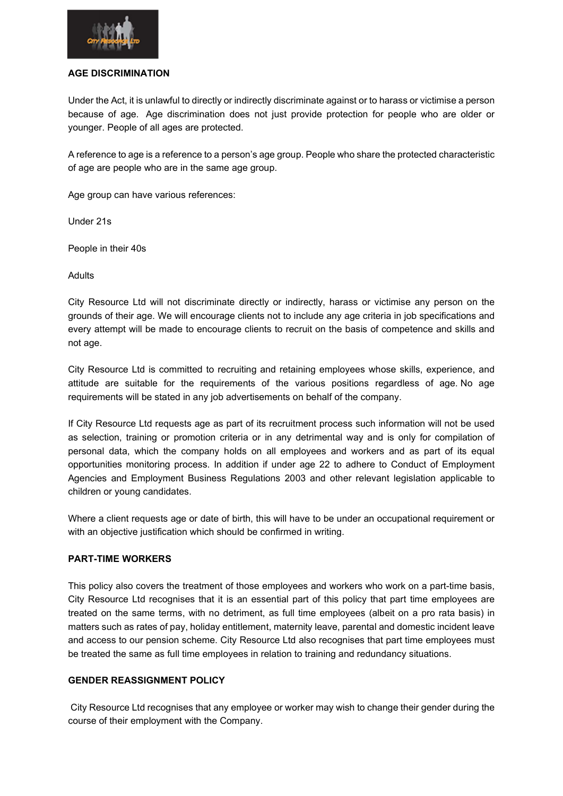

#### AGE DISCRIMINATION

Under the Act, it is unlawful to directly or indirectly discriminate against or to harass or victimise a person because of age. Age discrimination does not just provide protection for people who are older or younger. People of all ages are protected.

A reference to age is a reference to a person's age group. People who share the protected characteristic of age are people who are in the same age group.

Age group can have various references:

Under 21s

People in their 40s

Adults

City Resource Ltd will not discriminate directly or indirectly, harass or victimise any person on the grounds of their age. We will encourage clients not to include any age criteria in job specifications and every attempt will be made to encourage clients to recruit on the basis of competence and skills and not age.

City Resource Ltd is committed to recruiting and retaining employees whose skills, experience, and attitude are suitable for the requirements of the various positions regardless of age. No age requirements will be stated in any job advertisements on behalf of the company.

If City Resource Ltd requests age as part of its recruitment process such information will not be used as selection, training or promotion criteria or in any detrimental way and is only for compilation of personal data, which the company holds on all employees and workers and as part of its equal opportunities monitoring process. In addition if under age 22 to adhere to Conduct of Employment Agencies and Employment Business Regulations 2003 and other relevant legislation applicable to children or young candidates.

Where a client requests age or date of birth, this will have to be under an occupational requirement or with an objective justification which should be confirmed in writing.

## PART-TIME WORKERS

This policy also covers the treatment of those employees and workers who work on a part-time basis, City Resource Ltd recognises that it is an essential part of this policy that part time employees are treated on the same terms, with no detriment, as full time employees (albeit on a pro rata basis) in matters such as rates of pay, holiday entitlement, maternity leave, parental and domestic incident leave and access to our pension scheme. City Resource Ltd also recognises that part time employees must be treated the same as full time employees in relation to training and redundancy situations.

## GENDER REASSIGNMENT POLICY

 City Resource Ltd recognises that any employee or worker may wish to change their gender during the course of their employment with the Company.